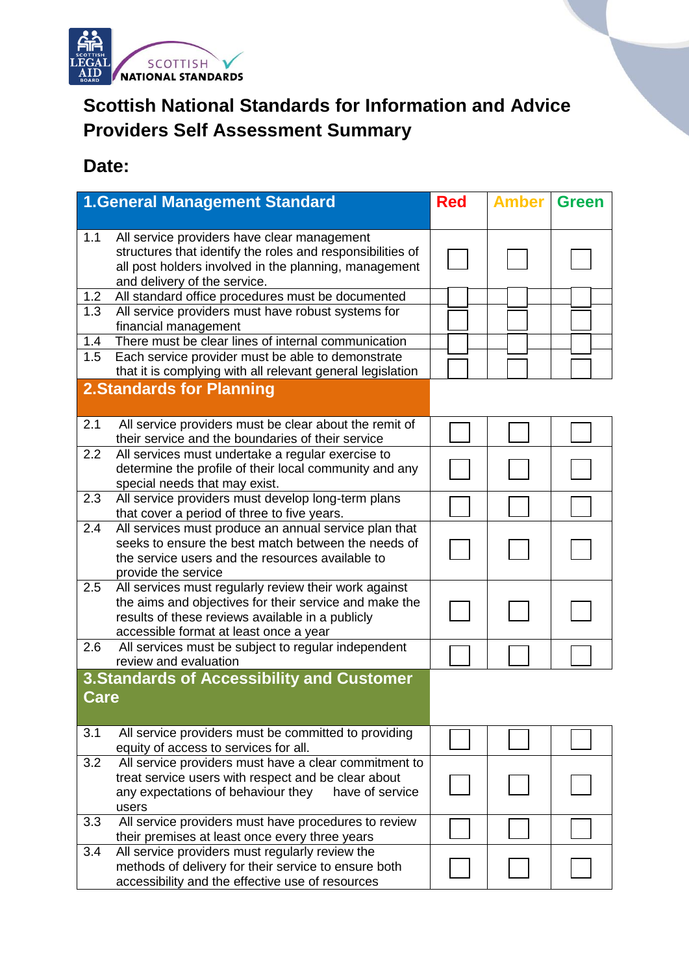

## **Scottish National Standards for Information and Advice Providers Self Assessment Summary**

## **Date:**

|             | <b>1.General Management Standard</b>                                                                                                                                                                          | <b>Red</b> | <b>Amber</b> | <b>Green</b> |
|-------------|---------------------------------------------------------------------------------------------------------------------------------------------------------------------------------------------------------------|------------|--------------|--------------|
|             |                                                                                                                                                                                                               |            |              |              |
| 1.1         | All service providers have clear management<br>structures that identify the roles and responsibilities of<br>all post holders involved in the planning, management<br>and delivery of the service.            |            |              |              |
| 1.2         | All standard office procedures must be documented                                                                                                                                                             |            |              |              |
| 1.3         | All service providers must have robust systems for<br>financial management                                                                                                                                    |            |              |              |
| 1.4         | There must be clear lines of internal communication                                                                                                                                                           |            |              |              |
| 1.5         | Each service provider must be able to demonstrate                                                                                                                                                             |            |              |              |
|             | that it is complying with all relevant general legislation                                                                                                                                                    |            |              |              |
|             | <b>2.Standards for Planning</b>                                                                                                                                                                               |            |              |              |
| 2.1         | All service providers must be clear about the remit of<br>their service and the boundaries of their service                                                                                                   |            |              |              |
| 2.2         | All services must undertake a regular exercise to<br>determine the profile of their local community and any<br>special needs that may exist.                                                                  |            |              |              |
| 2.3         | All service providers must develop long-term plans<br>that cover a period of three to five years.                                                                                                             |            |              |              |
| 2.4         | All services must produce an annual service plan that<br>seeks to ensure the best match between the needs of<br>the service users and the resources available to<br>provide the service                       |            |              |              |
| 2.5         | All services must regularly review their work against<br>the aims and objectives for their service and make the<br>results of these reviews available in a publicly<br>accessible format at least once a year |            |              |              |
| 2.6         | All services must be subject to regular independent                                                                                                                                                           |            |              |              |
|             | review and evaluation                                                                                                                                                                                         |            |              |              |
| <b>Care</b> | <b>3. Standards of Accessibility and Customer</b>                                                                                                                                                             |            |              |              |
| 3.1         | All service providers must be committed to providing<br>equity of access to services for all.                                                                                                                 |            |              |              |
| 3.2         | All service providers must have a clear commitment to<br>treat service users with respect and be clear about<br>any expectations of behaviour they<br>have of service<br>users                                |            |              |              |
| 3.3         | All service providers must have procedures to review<br>their premises at least once every three years                                                                                                        |            |              |              |
| 3.4         | All service providers must regularly review the<br>methods of delivery for their service to ensure both<br>accessibility and the effective use of resources                                                   |            |              |              |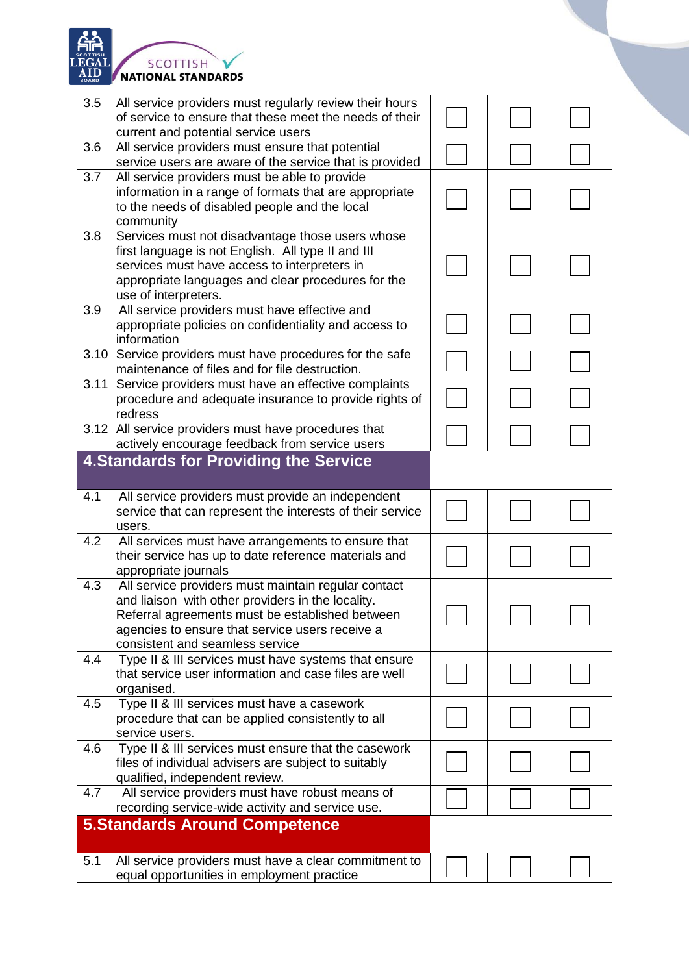

| 3.5  | All service providers must regularly review their hours<br>of service to ensure that these meet the needs of their |  |  |
|------|--------------------------------------------------------------------------------------------------------------------|--|--|
|      | current and potential service users                                                                                |  |  |
| 3.6  | All service providers must ensure that potential                                                                   |  |  |
|      | service users are aware of the service that is provided                                                            |  |  |
| 3.7  | All service providers must be able to provide                                                                      |  |  |
|      | information in a range of formats that are appropriate                                                             |  |  |
|      | to the needs of disabled people and the local                                                                      |  |  |
|      | community                                                                                                          |  |  |
| 3.8  | Services must not disadvantage those users whose                                                                   |  |  |
|      | first language is not English. All type II and III<br>services must have access to interpreters in                 |  |  |
|      | appropriate languages and clear procedures for the                                                                 |  |  |
|      | use of interpreters.                                                                                               |  |  |
| 3.9  | All service providers must have effective and                                                                      |  |  |
|      | appropriate policies on confidentiality and access to                                                              |  |  |
|      | information                                                                                                        |  |  |
|      | 3.10 Service providers must have procedures for the safe                                                           |  |  |
|      | maintenance of files and for file destruction.                                                                     |  |  |
| 3.11 | Service providers must have an effective complaints                                                                |  |  |
|      | procedure and adequate insurance to provide rights of                                                              |  |  |
|      | redress                                                                                                            |  |  |
|      | 3.12 All service providers must have procedures that                                                               |  |  |
|      | actively encourage feedback from service users                                                                     |  |  |
|      | <b>4. Standards for Providing the Service</b>                                                                      |  |  |
|      |                                                                                                                    |  |  |
|      |                                                                                                                    |  |  |
| 4.1  | All service providers must provide an independent                                                                  |  |  |
|      | service that can represent the interests of their service                                                          |  |  |
|      | users.                                                                                                             |  |  |
| 4.2  | All services must have arrangements to ensure that                                                                 |  |  |
|      | their service has up to date reference materials and                                                               |  |  |
|      | appropriate journals                                                                                               |  |  |
| 4.3  | All service providers must maintain regular contact                                                                |  |  |
|      | and liaison with other providers in the locality.                                                                  |  |  |
|      | Referral agreements must be established between                                                                    |  |  |
|      | agencies to ensure that service users receive a<br>consistent and seamless service                                 |  |  |
| 4.4  | Type II & III services must have systems that ensure                                                               |  |  |
|      | that service user information and case files are well                                                              |  |  |
|      | organised.                                                                                                         |  |  |
| 4.5  | Type II & III services must have a casework                                                                        |  |  |
|      | procedure that can be applied consistently to all                                                                  |  |  |
|      | service users.                                                                                                     |  |  |
| 4.6  | Type II & III services must ensure that the casework                                                               |  |  |
|      | files of individual advisers are subject to suitably                                                               |  |  |
|      | qualified, independent review.                                                                                     |  |  |
| 4.7  | All service providers must have robust means of                                                                    |  |  |
|      | recording service-wide activity and service use.                                                                   |  |  |
|      | <b>5.Standards Around Competence</b>                                                                               |  |  |
|      |                                                                                                                    |  |  |
| 5.1  | All service providers must have a clear commitment to<br>equal opportunities in employment practice                |  |  |